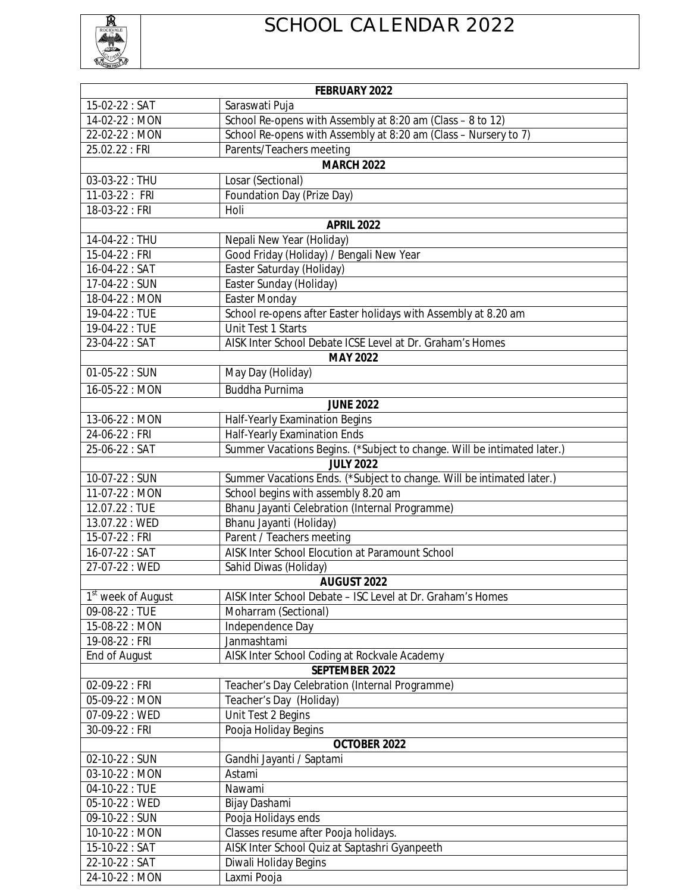

## SCHOOL CALENDAR 2022

| FEBRUARY 2022                  |                                                                         |  |
|--------------------------------|-------------------------------------------------------------------------|--|
| 15-02-22: SAT                  | Saraswati Puja                                                          |  |
| 14-02-22 : MON                 | School Re-opens with Assembly at 8:20 am (Class - 8 to 12)              |  |
| 22-02-22 : MON                 | School Re-opens with Assembly at 8:20 am (Class - Nursery to 7)         |  |
| 25.02.22 : FRI                 | Parents/Teachers meeting                                                |  |
| <b>MARCH 2022</b>              |                                                                         |  |
| $03 - 03 - 22 : THU$           | Losar (Sectional)                                                       |  |
| 11-03-22 : FRI                 | Foundation Day (Prize Day)                                              |  |
| 18-03-22 : FRI                 | Holi                                                                    |  |
| <b>APRIL 2022</b>              |                                                                         |  |
| 14-04-22 : THU                 | Nepali New Year (Holiday)                                               |  |
| 15-04-22 : FRI                 | Good Friday (Holiday) / Bengali New Year                                |  |
| 16-04-22 : SAT                 | Easter Saturday (Holiday)                                               |  |
| 17-04-22 : SUN                 | Easter Sunday (Holiday)                                                 |  |
| 18-04-22 : MON                 | Easter Monday                                                           |  |
| 19-04-22: TUE                  | School re-opens after Easter holidays with Assembly at 8.20 am          |  |
| 19-04-22 : TUE                 | Unit Test 1 Starts                                                      |  |
| 23-04-22 : SAT                 | AISK Inter School Debate ICSE Level at Dr. Graham's Homes               |  |
| <b>MAY 2022</b>                |                                                                         |  |
| 01-05-22: SUN                  | May Day (Holiday)                                                       |  |
| 16-05-22 : MON                 | <b>Buddha Purnima</b>                                                   |  |
| <b>JUNE 2022</b>               |                                                                         |  |
| 13-06-22 : MON                 | Half-Yearly Examination Begins                                          |  |
| 24-06-22 : FRI                 | Half-Yearly Examination Ends                                            |  |
| 25-06-22: SAT                  | Summer Vacations Begins. (*Subject to change. Will be intimated later.) |  |
|                                | <b>JULY 2022</b>                                                        |  |
| 10-07-22 : SUN                 | Summer Vacations Ends. (*Subject to change. Will be intimated later.)   |  |
| 11-07-22 : MON                 | School begins with assembly 8.20 am                                     |  |
| 12.07.22: TUE                  | Bhanu Jayanti Celebration (Internal Programme)                          |  |
| 13.07.22: WED                  | Bhanu Jayanti (Holiday)                                                 |  |
| 15-07-22 : FRI                 | Parent / Teachers meeting                                               |  |
| 16-07-22 : SAT                 | AISK Inter School Elocution at Paramount School                         |  |
| 27-07-22: WED                  | Sahid Diwas (Holiday)                                                   |  |
| <b>AUGUST 2022</b>             |                                                                         |  |
| 1 <sup>st</sup> week of August | AISK Inter School Debate - ISC Level at Dr. Graham's Homes              |  |
| 09-08-22: TUE                  | Moharram (Sectional)                                                    |  |
| 15-08-22: MON                  | Independence Day                                                        |  |
| 19-08-22 : FRI                 | Janmashtami                                                             |  |
| End of August                  | AISK Inter School Coding at Rockvale Academy<br><b>SEPTEMBER 2022</b>   |  |
| 02-09-22 : FRI                 | Teacher's Day Celebration (Internal Programme)                          |  |
| 05-09-22: MON                  | Teacher's Day (Holiday)                                                 |  |
| 07-09-22: WED                  | Unit Test 2 Begins                                                      |  |
| 30-09-22 : FRI                 | Pooja Holiday Begins                                                    |  |
|                                | <b>OCTOBER 2022</b>                                                     |  |
| 02-10-22: SUN                  | Gandhi Jayanti / Saptami                                                |  |
| 03-10-22 : MON                 | Astami                                                                  |  |
| 04-10-22: TUE                  | Nawami                                                                  |  |
| 05-10-22: WED                  | Bijay Dashami                                                           |  |
| 09-10-22 : SUN                 | Pooja Holidays ends                                                     |  |
| 10-10-22: MON                  | Classes resume after Pooja holidays.                                    |  |
| 15-10-22: SAT                  | AISK Inter School Quiz at Saptashri Gyanpeeth                           |  |
| 22-10-22: SAT                  | Diwali Holiday Begins                                                   |  |
| 24-10-22: MON                  | Laxmi Pooja                                                             |  |